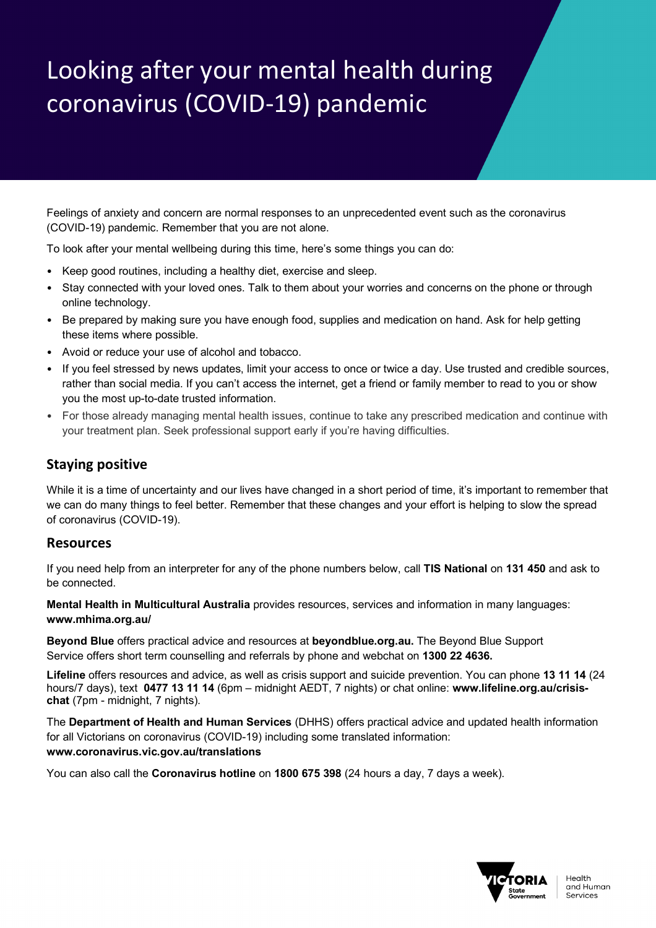## Looking after your mental health during coronavirus (COVID-19) pandemic

Feelings of anxiety and concern are normal responses to an unprecedented event such as the coronavirus (COVID-19) pandemic. Remember that you are not alone.

To look after your mental wellbeing during this time, here's some things you can do:

- Keep good routines, including a healthy diet, exercise and sleep.
- Stay connected with your loved ones. Talk to them about your worries and concerns on the phone or through online technology.
- Be prepared by making sure you have enough food, supplies and medication on hand. Ask for help getting these items where possible.
- Avoid or reduce your use of alcohol and tobacco.
- If you feel stressed by news updates, limit your access to once or twice a day. Use trusted and credible sources, rather than social media. If you can't access the internet, get a friend or family member to read to you or show you the most up-to-date trusted information.
- For those already managing mental health issues, continue to take any prescribed medication and continue with your treatment plan. Seek professional support early if you're having difficulties.

## **Staying positive**

While it is a time of uncertainty and our lives have changed in a short period of time, it's important to remember that we can do many things to feel better. Remember that these changes and your effort is helping to slow the spread of coronavirus (COVID-19).

## **Resources**

If you need help from an interpreter for any of the phone numbers below, call **TIS National** on **131 450** and ask to be connected.

**Mental Health in Multicultural Australia** provides resources, services and information in many languages: **www.mhima.org.au/**

**Beyond Blue** offers practical advice and resources at **beyondblue.org.au.** The Beyond Blue Support Service offers short term counselling and referrals by phone and webchat on **1300 22 4636.**

**Lifeline** offers resources and advice, as well as crisis support and suicide prevention. You can phone **13 11 14** (24 hours/7 days), text **0477 13 11 14** (6pm – midnight AEDT, 7 nights) or chat online: **www.lifeline.org.au/crisischat** (7pm - midnight, 7 nights).

The **Department of Health and Human Services** (DHHS) offers practical advice and updated health information for all Victorians on coronavirus (COVID-19) including some translated information:

## **www.coronavirus.vic.gov.au/translations**

You can also call the **Coronavirus hotline** on **1800 675 398** (24 hours a day, 7 days a week).